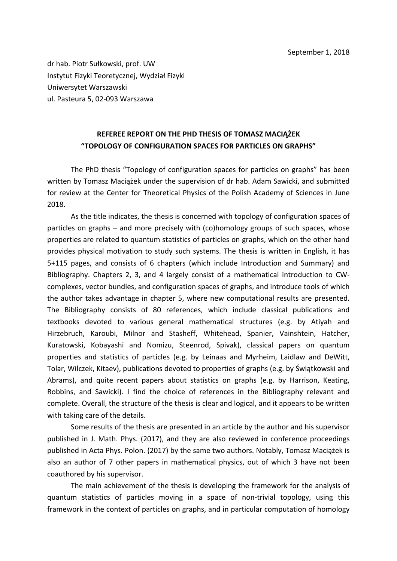dr hab. Piotr Sułkowski, prof. UW Instytut Fizyki Teoretycznej, Wydział Fizyki Uniwersytet Warszawski ul. Pasteura 5, 02-093 Warszawa

## **REFEREE REPORT ON THE PHD THESIS OF TOMASZ MACIĄŻEK "TOPOLOGY OF CONFIGURATION SPACES FOR PARTICLES ON GRAPHS"**

The PhD thesis "Topology of configuration spaces for particles on graphs" has been written by Tomasz Maciążek under the supervision of dr hab. Adam Sawicki, and submitted for review at the Center for Theoretical Physics of the Polish Academy of Sciences in June 2018. 

As the title indicates, the thesis is concerned with topology of configuration spaces of particles on graphs – and more precisely with (co)homology groups of such spaces, whose properties are related to quantum statistics of particles on graphs, which on the other hand provides physical motivation to study such systems. The thesis is written in English, it has 5+115 pages, and consists of 6 chapters (which include Introduction and Summary) and Bibliography. Chapters 2, 3, and 4 largely consist of a mathematical introduction to CWcomplexes, vector bundles, and configuration spaces of graphs, and introduce tools of which the author takes advantage in chapter 5, where new computational results are presented. The Bibliography consists of 80 references, which include classical publications and textbooks devoted to various general mathematical structures (e.g. by Atiyah and Hirzebruch, Karoubi, Milnor and Stasheff, Whitehead, Spanier, Vainshtein, Hatcher, Kuratowski, Kobayashi and Nomizu, Steenrod, Spivak), classical papers on quantum properties and statistics of particles (e.g. by Leinaas and Myrheim, Laidlaw and DeWitt, Tolar, Wilczek, Kitaev), publications devoted to properties of graphs (e.g. by Świątkowski and Abrams), and quite recent papers about statistics on graphs (e.g. by Harrison, Keating, Robbins, and Sawicki). I find the choice of references in the Bibliography relevant and complete. Overall, the structure of the thesis is clear and logical, and it appears to be written with taking care of the details.

Some results of the thesis are presented in an article by the author and his supervisor published in J. Math. Phys. (2017), and they are also reviewed in conference proceedings published in Acta Phys. Polon. (2017) by the same two authors. Notably, Tomasz Maciążek is also an author of 7 other papers in mathematical physics, out of which 3 have not been coauthored by his supervisor.

The main achievement of the thesis is developing the framework for the analysis of quantum statistics of particles moving in a space of non-trivial topology, using this framework in the context of particles on graphs, and in particular computation of homology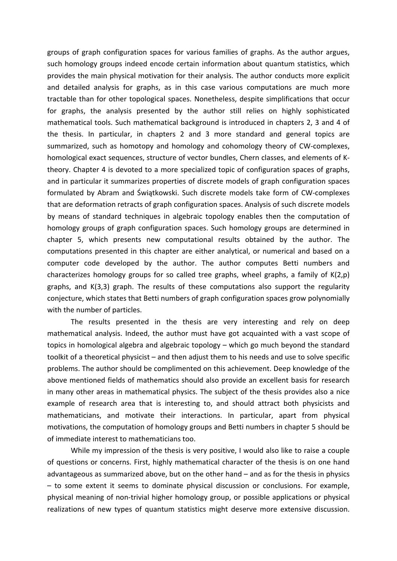groups of graph configuration spaces for various families of graphs. As the author argues, such homology groups indeed encode certain information about quantum statistics, which provides the main physical motivation for their analysis. The author conducts more explicit and detailed analysis for graphs, as in this case various computations are much more tractable than for other topological spaces. Nonetheless, despite simplifications that occur for graphs, the analysis presented by the author still relies on highly sophisticated mathematical tools. Such mathematical background is introduced in chapters 2, 3 and 4 of the thesis. In particular, in chapters 2 and 3 more standard and general topics are summarized, such as homotopy and homology and cohomology theory of CW-complexes, homological exact sequences, structure of vector bundles, Chern classes, and elements of Ktheory. Chapter 4 is devoted to a more specialized topic of configuration spaces of graphs, and in particular it summarizes properties of discrete models of graph configuration spaces formulated by Abram and Świątkowski. Such discrete models take form of CW-complexes that are deformation retracts of graph configuration spaces. Analysis of such discrete models by means of standard techniques in algebraic topology enables then the computation of homology groups of graph configuration spaces. Such homology groups are determined in chapter 5, which presents new computational results obtained by the author. The computations presented in this chapter are either analytical, or numerical and based on a computer code developed by the author. The author computes Betti numbers and characterizes homology groups for so called tree graphs, wheel graphs, a family of  $K(2,p)$ graphs, and  $K(3,3)$  graph. The results of these computations also support the regularity conjecture, which states that Betti numbers of graph configuration spaces grow polynomially with the number of particles.

The results presented in the thesis are very interesting and rely on deep mathematical analysis. Indeed, the author must have got acquainted with a vast scope of topics in homological algebra and algebraic topology – which go much beyond the standard toolkit of a theoretical physicist – and then adjust them to his needs and use to solve specific problems. The author should be complimented on this achievement. Deep knowledge of the above mentioned fields of mathematics should also provide an excellent basis for research in many other areas in mathematical physics. The subject of the thesis provides also a nice example of research area that is interesting to, and should attract both physicists and mathematicians, and motivate their interactions. In particular, apart from physical motivations, the computation of homology groups and Betti numbers in chapter 5 should be of immediate interest to mathematicians too.

While my impression of the thesis is very positive, I would also like to raise a couple of questions or concerns. First, highly mathematical character of the thesis is on one hand advantageous as summarized above, but on the other hand  $-$  and as for the thesis in physics – to some extent it seems to dominate physical discussion or conclusions. For example, physical meaning of non-trivial higher homology group, or possible applications or physical realizations of new types of quantum statistics might deserve more extensive discussion.